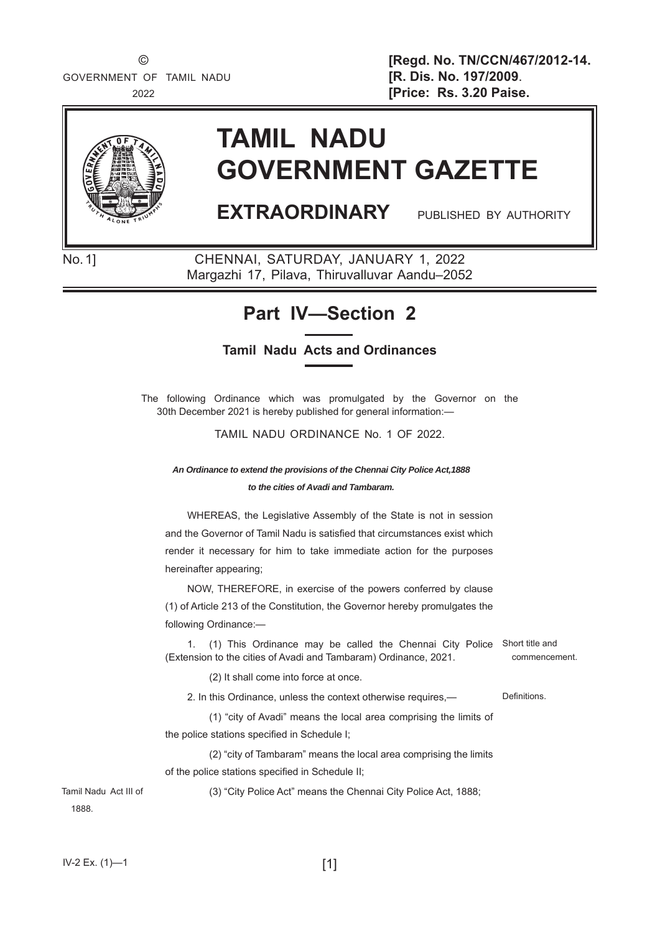

# **TAMIL NADU GOVERNMENT GAZETTE**

# **EXTRAORDINARY** PUBLISHED BY AUTHORITY

No. 1] CHENNAI, SATURDAY, JANUARY 1, 2022 Margazhi 17, Pilava, Thiruvalluvar Aandu–2052

# **Part IV—Section 2**

### **Tamil Nadu Acts and Ordinances**

The following Ordinance which was promulgated by the Governor on the 30th December 2021 is hereby published for general information:—

TAMIL NADU ORDINANCE No. 1 OF 2022.

*An Ordinance to extend the provisions of the Chennai City Police Act,1888 to the cities of Avadi and Tambaram.*

WHEREAS, the Legislative Assembly of the State is not in session and the Governor of Tamil Nadu is satisfied that circumstances exist which render it necessary for him to take immediate action for the purposes hereinafter appearing;

NOW, THEREFORE, in exercise of the powers conferred by clause (1) of Article 213 of the Constitution, the Governor hereby promulgates the following Ordinance:—

1. (1) This Ordinance may be called the Chennai City Police Short title and (Extension to the cities of Avadi and Tambaram) Ordinance, 2021.

(2) It shall come into force at once.

2. In this Ordinance, unless the context otherwise requires,— Definitions.

 (1) "city of Avadi" means the local area comprising the limits of the police stations specified in Schedule I:

 (2) "city of Tambaram" means the local area comprising the limits of the police stations specified in Schedule II;

(3) "City Police Act" means the Chennai City Police Act, 1888;

1888.

 $IV-2 Ex. (1)$  [1]

Tamil Nadu Act III of

commencement.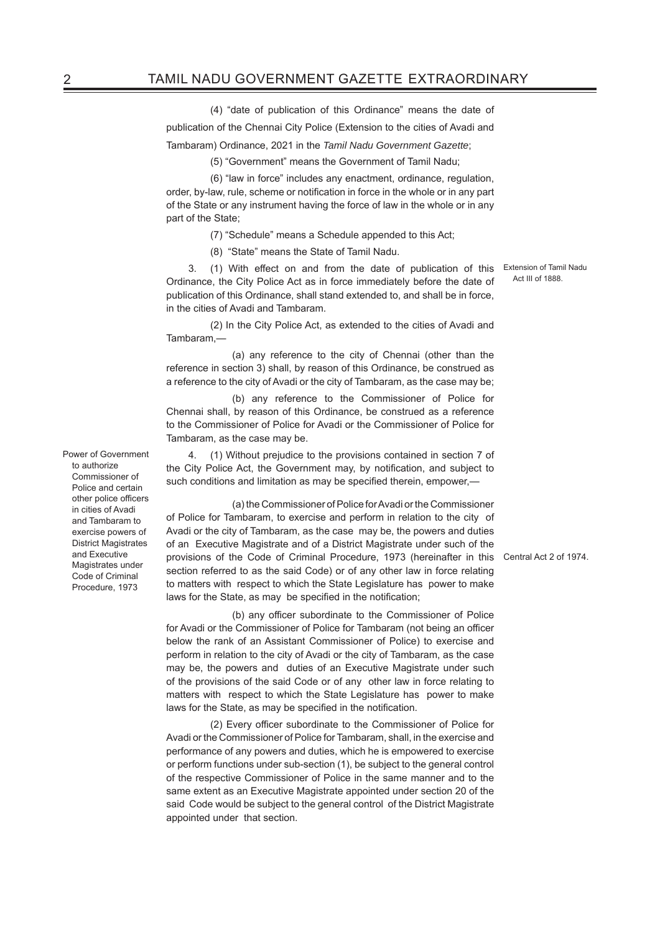(4) "date of publication of this Ordinance" means the date of

publication of the Chennai City Police (Extension to the cities of Avadi and

Tambaram) Ordinance, 2021 in the *Tamil Nadu Government Gazette*;

(5) "Government" means the Government of Tamil Nadu;

 (6) "law in force" includes any enactment, ordinance, regulation, order, by-law, rule, scheme or notification in force in the whole or in any part of the State or any instrument having the force of law in the whole or in any part of the State;

(7) "Schedule" means a Schedule appended to this Act;

(8) "State" means the State of Tamil Nadu.

3. (1) With effect on and from the date of publication of this Extension of Tamil Nadu Ordinance, the City Police Act as in force immediately before the date of publication of this Ordinance, shall stand extended to, and shall be in force, in the cities of Avadi and Tambaram.

 (2) In the City Police Act, as extended to the cities of Avadi and Tambaram,—

 (a) any reference to the city of Chennai (other than the reference in section 3) shall, by reason of this Ordinance, be construed as a reference to the city of Avadi or the city of Tambaram, as the case may be;

 (b) any reference to the Commissioner of Police for Chennai shall, by reason of this Ordinance, be construed as a reference to the Commissioner of Police for Avadi or the Commissioner of Police for Tambaram, as the case may be.

4. (1) Without prejudice to the provisions contained in section 7 of the City Police Act, the Government may, by notification, and subject to such conditions and limitation as may be specified therein, empower,-

 (a) the Commissioner of Police for Avadi or the Commissioner of Police for Tambaram, to exercise and perform in relation to the city of Avadi or the city of Tambaram, as the case may be, the powers and duties of an Executive Magistrate and of a District Magistrate under such of the provisions of the Code of Criminal Procedure, 1973 (hereinafter in this Central Act 2 of 1974. section referred to as the said Code) or of any other law in force relating to matters with respect to which the State Legislature has power to make laws for the State, as may be specified in the notification;

(b) any officer subordinate to the Commissioner of Police for Avadi or the Commissioner of Police for Tambaram (not being an officer below the rank of an Assistant Commissioner of Police) to exercise and perform in relation to the city of Avadi or the city of Tambaram, as the case may be, the powers and duties of an Executive Magistrate under such of the provisions of the said Code or of any other law in force relating to matters with respect to which the State Legislature has power to make laws for the State, as may be specified in the notification.

(2) Every officer subordinate to the Commissioner of Police for Avadi or the Commissioner of Police for Tambaram, shall, in the exercise and performance of any powers and duties, which he is empowered to exercise or perform functions under sub-section (1), be subject to the general control of the respective Commissioner of Police in the same manner and to the same extent as an Executive Magistrate appointed under section 20 of the said Code would be subject to the general control of the District Magistrate appointed under that section.

Act III of 1888.

Power of Government to authorize Commissioner of Police and certain other police officers in cities of Avadi and Tambaram to exercise powers of District Magistrates and Executive Magistrates under Code of Criminal Procedure, 1973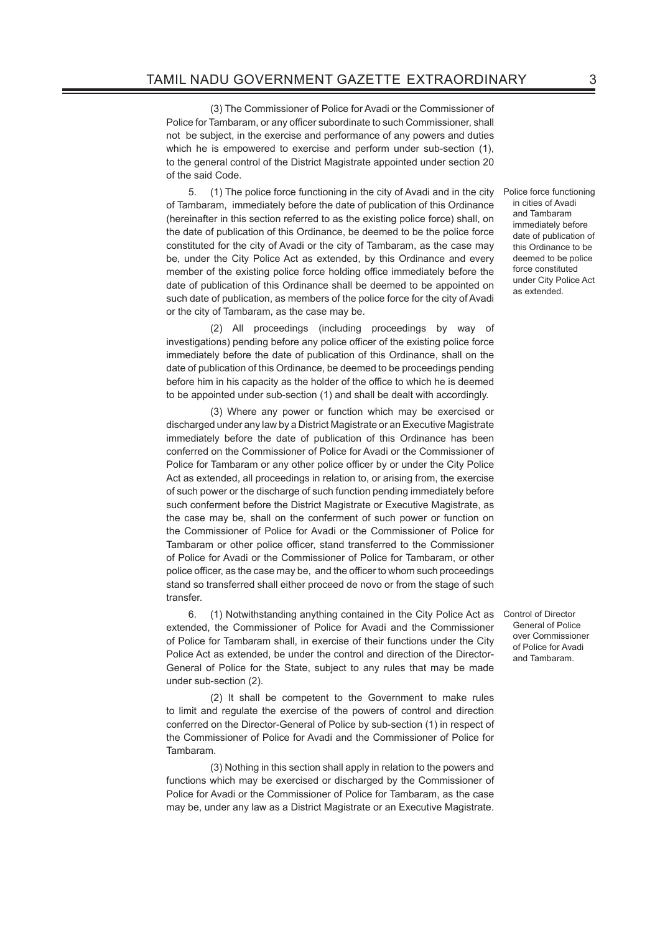(3) The Commissioner of Police for Avadi or the Commissioner of Police for Tambaram, or any officer subordinate to such Commissioner, shall not be subject, in the exercise and performance of any powers and duties which he is empowered to exercise and perform under sub-section (1), to the general control of the District Magistrate appointed under section 20 of the said Code.

5. (1) The police force functioning in the city of Avadi and in the city Police force functioning of Tambaram, immediately before the date of publication of this Ordinance (hereinafter in this section referred to as the existing police force) shall, on the date of publication of this Ordinance, be deemed to be the police force constituted for the city of Avadi or the city of Tambaram, as the case may be, under the City Police Act as extended, by this Ordinance and every member of the existing police force holding office immediately before the date of publication of this Ordinance shall be deemed to be appointed on such date of publication, as members of the police force for the city of Avadi or the city of Tambaram, as the case may be.

 (2) All proceedings (including proceedings by way of investigations) pending before any police officer of the existing police force immediately before the date of publication of this Ordinance, shall on the date of publication of this Ordinance, be deemed to be proceedings pending before him in his capacity as the holder of the office to which he is deemed to be appointed under sub-section (1) and shall be dealt with accordingly.

 (3) Where any power or function which may be exercised or discharged under any law by a District Magistrate or an Executive Magistrate immediately before the date of publication of this Ordinance has been conferred on the Commissioner of Police for Avadi or the Commissioner of Police for Tambaram or any other police officer by or under the City Police Act as extended, all proceedings in relation to, or arising from, the exercise of such power or the discharge of such function pending immediately before such conferment before the District Magistrate or Executive Magistrate, as the case may be, shall on the conferment of such power or function on the Commissioner of Police for Avadi or the Commissioner of Police for Tambaram or other police officer, stand transferred to the Commissioner of Police for Avadi or the Commissioner of Police for Tambaram, or other police officer, as the case may be, and the officer to whom such proceedings stand so transferred shall either proceed de novo or from the stage of such transfer.

6. (1) Notwithstanding anything contained in the City Police Act as Control of Director extended, the Commissioner of Police for Avadi and the Commissioner of Police for Tambaram shall, in exercise of their functions under the City Police Act as extended, be under the control and direction of the Director-General of Police for the State, subject to any rules that may be made under sub-section (2).

 (2) It shall be competent to the Government to make rules to limit and regulate the exercise of the powers of control and direction conferred on the Director-General of Police by sub-section (1) in respect of the Commissioner of Police for Avadi and the Commissioner of Police for Tambaram.

 (3) Nothing in this section shall apply in relation to the powers and functions which may be exercised or discharged by the Commissioner of Police for Avadi or the Commissioner of Police for Tambaram, as the case may be, under any law as a District Magistrate or an Executive Magistrate. General of Police over Commissioner of Police for Avadi and Tambaram.

in cities of Avadi and Tambaram immediately before date of publication of this Ordinance to be deemed to be police force constituted under City Police Act as extended.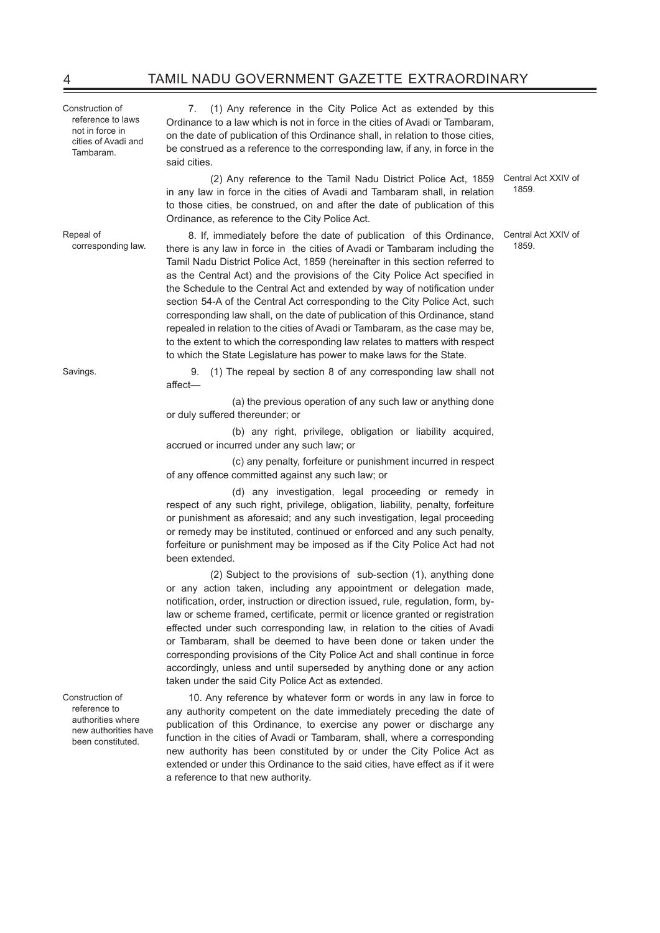Construction of reference to laws not in force in cities of Avadi and Tambaram.

Repeal of corresponding law.

Savings. 9. (1) The repeal by section 8 of any corresponding law shall not

affect-

 (a) the previous operation of any such law or anything done or duly suffered thereunder; or

 (b) any right, privilege, obligation or liability acquired, accrued or incurred under any such law; or

 (c) any penalty, forfeiture or punishment incurred in respect of any offence committed against any such law; or

 (d) any investigation, legal proceeding or remedy in respect of any such right, privilege, obligation, liability, penalty, forfeiture or punishment as aforesaid; and any such investigation, legal proceeding or remedy may be instituted, continued or enforced and any such penalty, forfeiture or punishment may be imposed as if the City Police Act had not been extended.

 (2) Subject to the provisions of sub-section (1), anything done or any action taken, including any appointment or delegation made, notification, order, instruction or direction issued, rule, regulation, form, bylaw or scheme framed, certificate, permit or licence granted or registration effected under such corresponding law, in relation to the cities of Avadi or Tambaram, shall be deemed to have been done or taken under the corresponding provisions of the City Police Act and shall continue in force accordingly, unless and until superseded by anything done or any action taken under the said City Police Act as extended.

10. Any reference by whatever form or words in any law in force to any authority competent on the date immediately preceding the date of publication of this Ordinance, to exercise any power or discharge any function in the cities of Avadi or Tambaram, shall, where a corresponding new authority has been constituted by or under the City Police Act as extended or under this Ordinance to the said cities, have effect as if it were a reference to that new authority.

7. (1) Any reference in the City Police Act as extended by this Ordinance to a law which is not in force in the cities of Avadi or Tambaram, on the date of publication of this Ordinance shall, in relation to those cities, be construed as a reference to the corresponding law, if any, in force in the said cities.

 (2) Any reference to the Tamil Nadu District Police Act, 1859 Central Act XXIV of in any law in force in the cities of Avadi and Tambaram shall, in relation to those cities, be construed, on and after the date of publication of this Ordinance, as reference to the City Police Act.

8. If, immediately before the date of publication of this Ordinance, there is any law in force in the cities of Avadi or Tambaram including the Tamil Nadu District Police Act, 1859 (hereinafter in this section referred to as the Central Act) and the provisions of the City Police Act specified in the Schedule to the Central Act and extended by way of notification under section 54-A of the Central Act corresponding to the City Police Act, such corresponding law shall, on the date of publication of this Ordinance, stand repealed in relation to the cities of Avadi or Tambaram, as the case may be, to the extent to which the corresponding law relates to matters with respect to which the State Legislature has power to make laws for the State.

1859.

Central Act XXIV of 1859.

Construction of reference to authorities where new authorities have been constituted.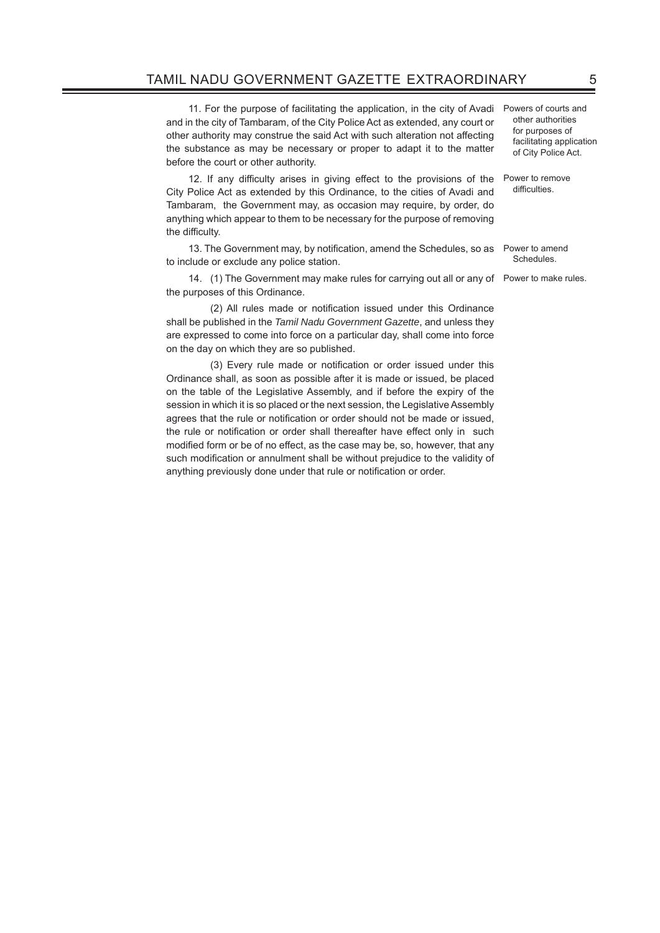## TAMIL NADU GOVERNMENT GAZETTE EXTRAORDINARY 5

11. For the purpose of facilitating the application, in the city of Avadi and in the city of Tambaram, of the City Police Act as extended, any court or other authority may construe the said Act with such alteration not affecting the substance as may be necessary or proper to adapt it to the matter before the court or other authority.

12. If any difficulty arises in giving effect to the provisions of the Power to remove City Police Act as extended by this Ordinance, to the cities of Avadi and Tambaram, the Government may, as occasion may require, by order, do anything which appear to them to be necessary for the purpose of removing the difficulty.

13. The Government may, by notification, amend the Schedules, so as Power to amend to include or exclude any police station.

14. (1) The Government may make rules for carrying out all or any of Power to make rules. the purposes of this Ordinance.

(2) All rules made or notification issued under this Ordinance shall be published in the *Tamil Nadu Government Gazette*, and unless they are expressed to come into force on a particular day, shall come into force on the day on which they are so published.

(3) Every rule made or notification or order issued under this Ordinance shall, as soon as possible after it is made or issued, be placed on the table of the Legislative Assembly, and if before the expiry of the session in which it is so placed or the next session, the Legislative Assembly agrees that the rule or notification or order should not be made or issued, the rule or notification or order shall thereafter have effect only in such modified form or be of no effect, as the case may be, so, however, that any such modification or annulment shall be without prejudice to the validity of anything previously done under that rule or notification or order.

Powers of courts and other authorities for purposes of facilitating application of City Police Act.

difficulties.

**Schedules**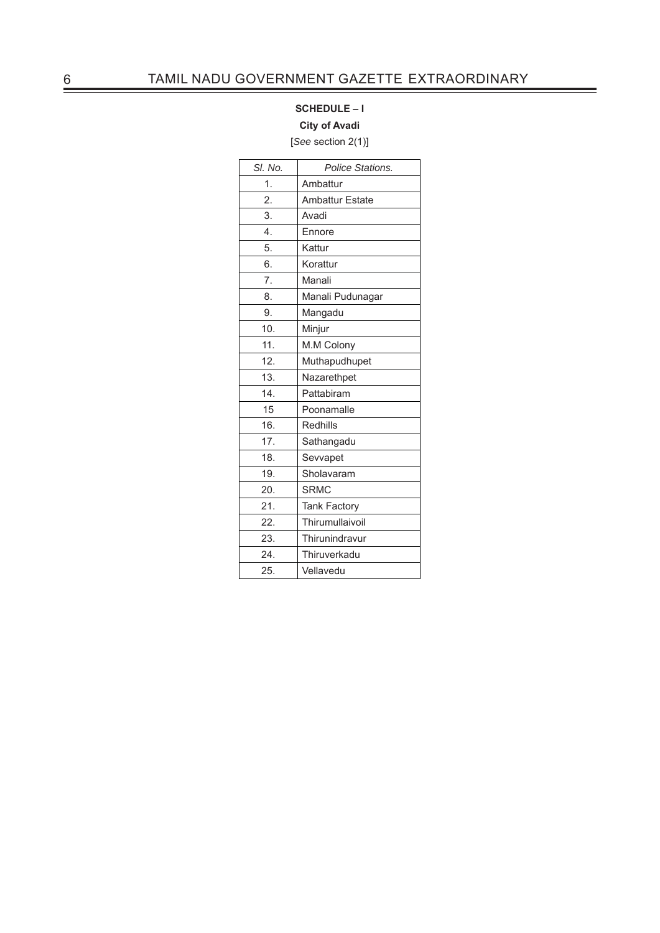## **SCHEDULE – I**

#### **City of Avadi**

[*See* section 2(1)]

| SI. No. | Police Stations.       |
|---------|------------------------|
| 1.      | Ambattur               |
| 2.      | <b>Ambattur Estate</b> |
| 3.      | Avadi                  |
| 4.      | Ennore                 |
| 5.      | Kattur                 |
| 6.      | Korattur               |
| 7.      | Manali                 |
| 8.      | Manali Pudunagar       |
| 9.      | Mangadu                |
| 10.     | Minjur                 |
| 11.     | M.M Colony             |
| 12.     | Muthapudhupet          |
| 13.     | Nazarethpet            |
| 14.     | Pattabiram             |
| 15      | Poonamalle             |
| 16.     | Redhills               |
| 17.     | Sathangadu             |
| 18.     | Sevvapet               |
| 19.     | Sholavaram             |
| 20.     | <b>SRMC</b>            |
| 21.     | <b>Tank Factory</b>    |
| 22.     | Thirumullaivoil        |
| 23.     | Thirunindravur         |
| 24.     | Thiruverkadu           |
| 25.     | Vellavedu              |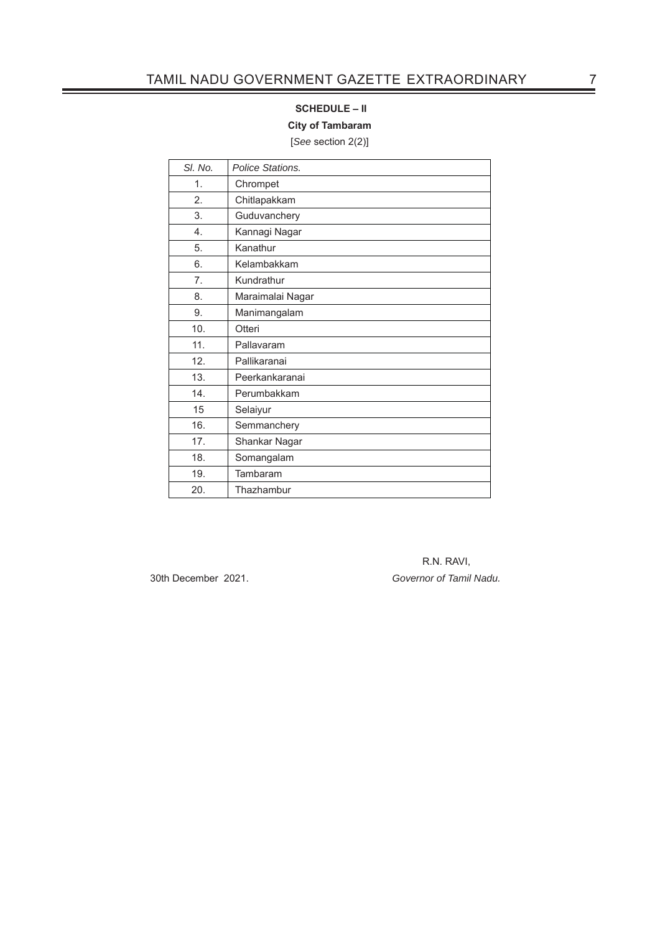#### **SCHEDULE – II**

**City of Tambaram**

[*See* section 2(2)]

| SI. No.        | Police Stations. |
|----------------|------------------|
| 1.             | Chrompet         |
| 2.             | Chitlapakkam     |
| 3.             | Guduvanchery     |
| 4.             | Kannagi Nagar    |
| 5.             | Kanathur         |
| 6.             | Kelambakkam      |
| 7 <sub>1</sub> | Kundrathur       |
| 8.             | Maraimalai Nagar |
| 9.             | Manimangalam     |
| 10.            | Otteri           |
| 11.            | Pallavaram       |
| 12.            | Pallikaranai     |
| 13.            | Peerkankaranai   |
| 14.            | Perumbakkam      |
| 15             | Selaiyur         |
| 16.            | Semmanchery      |
| 17.            | Shankar Nagar    |
| 18.            | Somangalam       |
| 19.            | Tambaram         |
| 20.            | Thazhambur       |

 R.N. RAVI, 30th December 2021. *Governor of Tamil Nadu.*